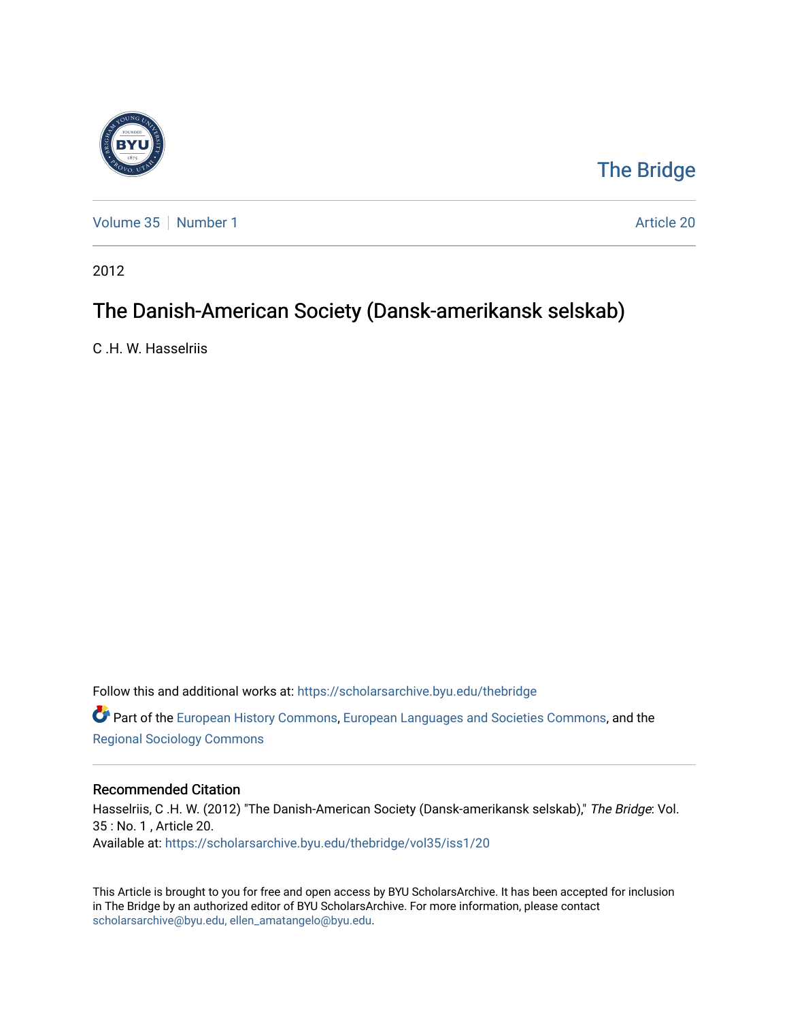

# [The Bridge](https://scholarsarchive.byu.edu/thebridge)

[Volume 35](https://scholarsarchive.byu.edu/thebridge/vol35) [Number 1](https://scholarsarchive.byu.edu/thebridge/vol35/iss1) Article 20

2012

# The Danish-American Society (Dansk-amerikansk selskab)

C .H. W. Hasselriis

Follow this and additional works at: [https://scholarsarchive.byu.edu/thebridge](https://scholarsarchive.byu.edu/thebridge?utm_source=scholarsarchive.byu.edu%2Fthebridge%2Fvol35%2Fiss1%2F20&utm_medium=PDF&utm_campaign=PDFCoverPages)  **C** Part of the [European History Commons](http://network.bepress.com/hgg/discipline/492?utm_source=scholarsarchive.byu.edu%2Fthebridge%2Fvol35%2Fiss1%2F20&utm_medium=PDF&utm_campaign=PDFCoverPages), [European Languages and Societies Commons,](http://network.bepress.com/hgg/discipline/482?utm_source=scholarsarchive.byu.edu%2Fthebridge%2Fvol35%2Fiss1%2F20&utm_medium=PDF&utm_campaign=PDFCoverPages) and the

[Regional Sociology Commons](http://network.bepress.com/hgg/discipline/427?utm_source=scholarsarchive.byu.edu%2Fthebridge%2Fvol35%2Fiss1%2F20&utm_medium=PDF&utm_campaign=PDFCoverPages) 

### Recommended Citation

Hasselriis, C .H. W. (2012) "The Danish-American Society (Dansk-amerikansk selskab)," The Bridge: Vol. 35 : No. 1 , Article 20. Available at: [https://scholarsarchive.byu.edu/thebridge/vol35/iss1/20](https://scholarsarchive.byu.edu/thebridge/vol35/iss1/20?utm_source=scholarsarchive.byu.edu%2Fthebridge%2Fvol35%2Fiss1%2F20&utm_medium=PDF&utm_campaign=PDFCoverPages)

This Article is brought to you for free and open access by BYU ScholarsArchive. It has been accepted for inclusion in The Bridge by an authorized editor of BYU ScholarsArchive. For more information, please contact [scholarsarchive@byu.edu, ellen\\_amatangelo@byu.edu](mailto:scholarsarchive@byu.edu,%20ellen_amatangelo@byu.edu).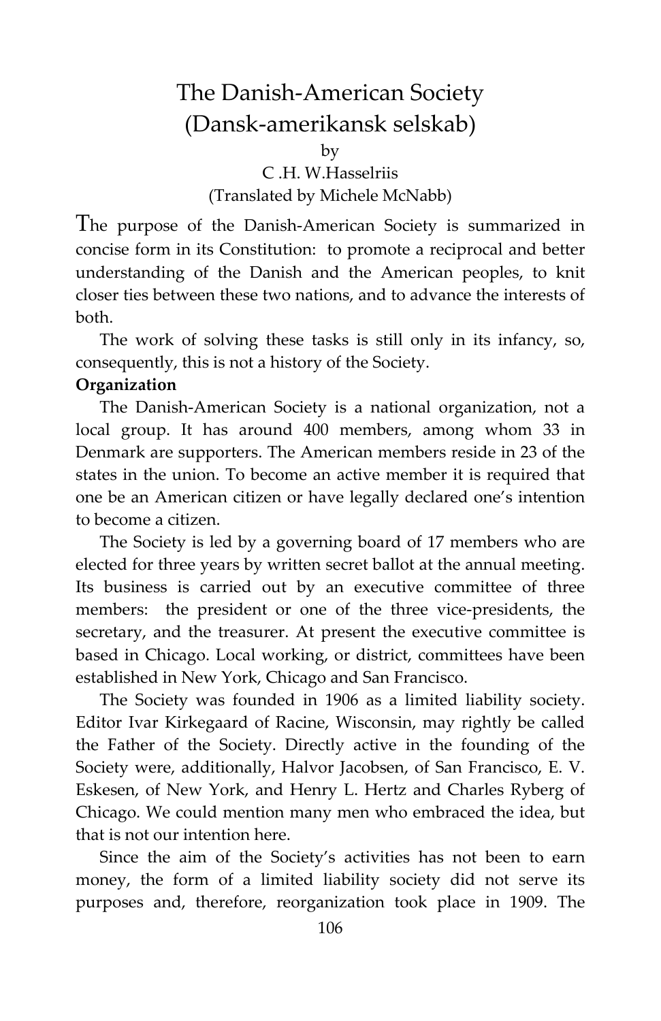## The Danish-American Society (Dansk-amerikansk selskab)

by

C .H. W.Hasselriis (Translated by Michele McNabb)

The purpose of the Danish-American Society is summarized in concise form in its Constitution: to promote a reciprocal and better understanding of the Danish and the American peoples, to knit closer ties between these two nations, and to advance the interests of both.

The work of solving these tasks is still only in its infancy, so, consequently, this is not a history of the Society.

#### **Organization**

The Danish-American Society is a national organization, not a local group. It has around 400 members, among whom 33 in Denmark are supporters. The American members reside in 23 of the states in the union. To become an active member it is required that one be an American citizen or have legally declared one's intention to become a citizen.

The Society is led by a governing board of 17 members who are elected for three years by written secret ballot at the annual meeting. Its business is carried out by an executive committee of three members: the president or one of the three vice-presidents, the secretary, and the treasurer. At present the executive committee is based in Chicago. Local working, or district, committees have been established in New York, Chicago and San Francisco.

The Society was founded in 1906 as a limited liability society. Editor Ivar Kirkegaard of Racine, Wisconsin, may rightly be called the Father of the Society. Directly active in the founding of the Society were, additionally, Halvor Jacobsen, of San Francisco, E. V. Eskesen, of New York, and Henry L. Hertz and Charles Ryberg of Chicago. We could mention many men who embraced the idea, but that is not our intention here.

Since the aim of the Society's activities has not been to earn money, the form of a limited liability society did not serve its purposes and, therefore, reorganization took place in 1909. The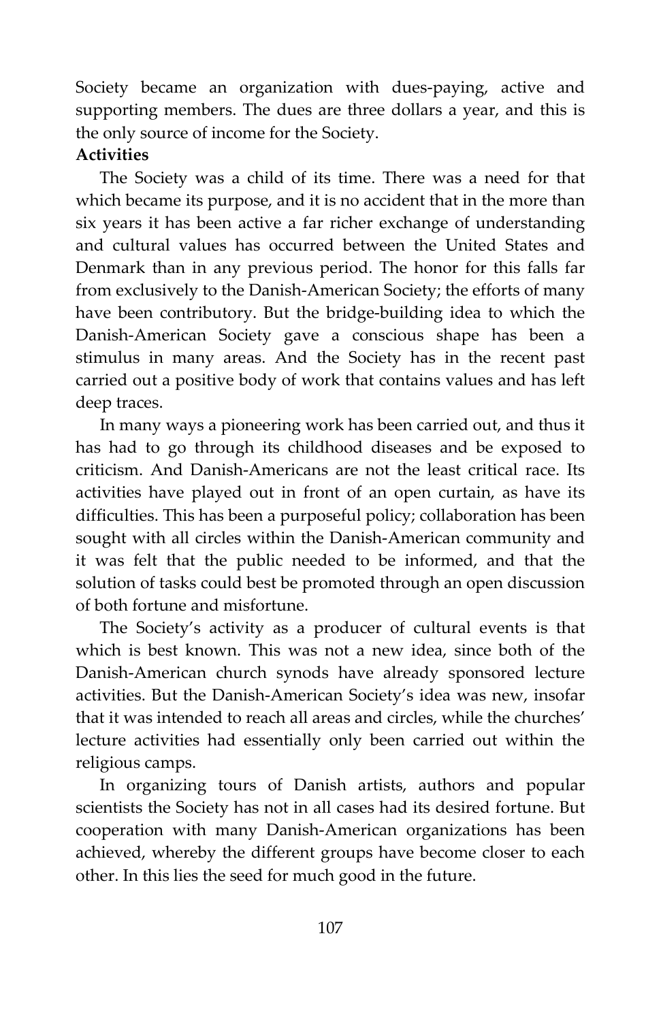Society became an organization with dues-paying, active and supporting members. The dues are three dollars a year, and this is the only source of income for the Society.

#### **Activities**

The Society was a child of its time. There was a need for that which became its purpose, and it is no accident that in the more than six years it has been active a far richer exchange of understanding and cultural values has occurred between the United States and Denmark than in any previous period. The honor for this falls far from exclusively to the Danish-American Society; the efforts of many have been contributory. But the bridge-building idea to which the Danish-American Society gave a conscious shape has been a stimulus in many areas. And the Society has in the recent past carried out a positive body of work that contains values and has left deep traces.

In many ways a pioneering work has been carried out, and thus it has had to go through its childhood diseases and be exposed to criticism. And Danish-Americans are not the least critical race. Its activities have played out in front of an open curtain, as have its difficulties. This has been a purposeful policy; collaboration has been sought with all circles within the Danish-American community and it was felt that the public needed to be informed, and that the solution of tasks could best be promoted through an open discussion of both fortune and misfortune.

The Society's activity as a producer of cultural events is that which is best known. This was not a new idea, since both of the Danish-American church synods have already sponsored lecture activities. But the Danish-American Society's idea was new, insofar that it was intended to reach all areas and circles, while the churches' lecture activities had essentially only been carried out within the religious camps.

In organizing tours of Danish artists, authors and popular scientists the Society has not in all cases had its desired fortune. But cooperation with many Danish-American organizations has been achieved, whereby the different groups have become closer to each other. In this lies the seed for much good in the future.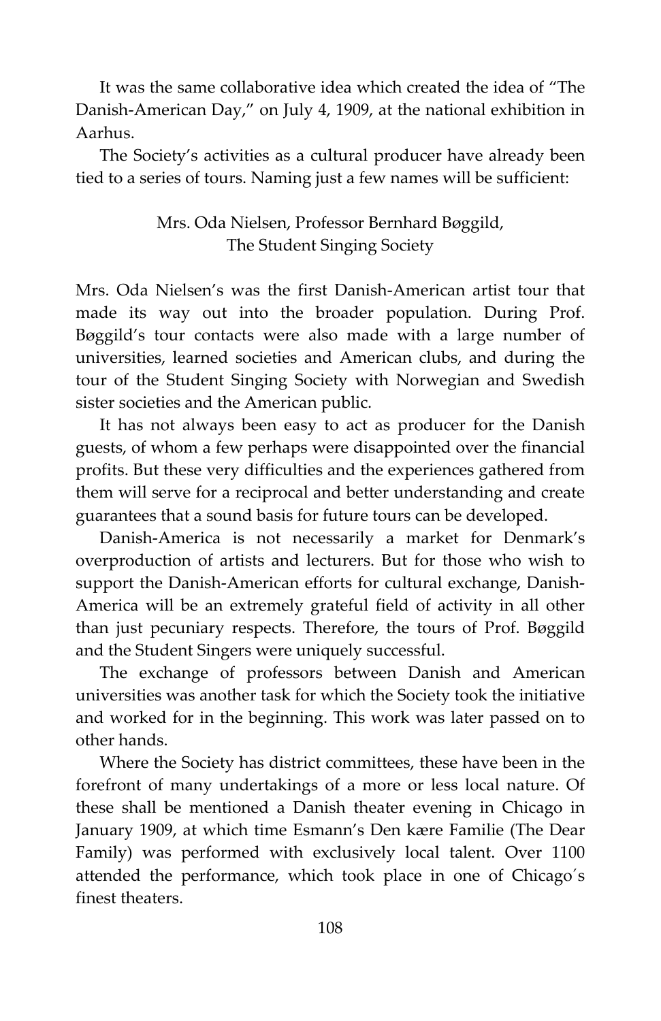It was the same collaborative idea which created the idea of "The Danish-American Day," on July 4, 1909, at the national exhibition in Aarhus.

The Society's activities as a cultural producer have already been tied to a series of tours. Naming just a few names will be sufficient:

### Mrs. Oda Nielsen, Professor Bernhard Bøggild, The Student Singing Society

Mrs. Oda Nielsen's was the first Danish-American artist tour that made its way out into the broader population. During Prof. Bøggild's tour contacts were also made with a large number of universities, learned societies and American clubs, and during the tour of the Student Singing Society with Norwegian and Swedish sister societies and the American public.

It has not always been easy to act as producer for the Danish guests, of whom a few perhaps were disappointed over the financial profits. But these very difficulties and the experiences gathered from them will serve for a reciprocal and better understanding and create guarantees that a sound basis for future tours can be developed.

Danish-America is not necessarily a market for Denmark's overproduction of artists and lecturers. But for those who wish to support the Danish-American efforts for cultural exchange, Danish-America will be an extremely grateful field of activity in all other than just pecuniary respects. Therefore, the tours of Prof. Bøggild and the Student Singers were uniquely successful.

The exchange of professors between Danish and American universities was another task for which the Society took the initiative and worked for in the beginning. This work was later passed on to other hands.

Where the Society has district committees, these have been in the forefront of many undertakings of a more or less local nature. Of these shall be mentioned a Danish theater evening in Chicago in January 1909, at which time Esmann's Den kære Familie (The Dear Family) was performed with exclusively local talent. Over 1100 attended the performance, which took place in one of Chicago´s finest theaters.